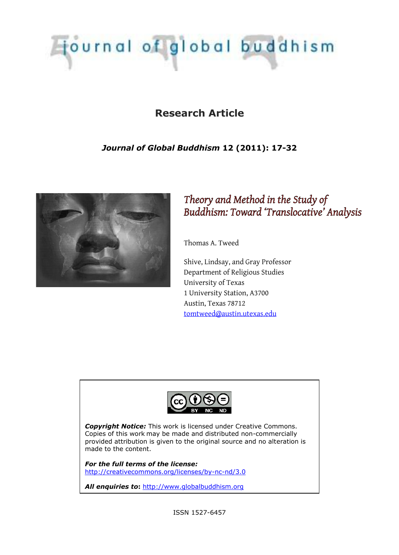

# **Research Article**

# *Journal of Global Buddhism* **12 (2011): 17-32**



# *Theory and Method in the Study of Buddhism: Toward 'Translocative' Analysis*

Thomas A. Tweed

Shive, Lindsay, and Gray Professor Department of Religious Studies University of Texas 1 University Station, A3700 Austin, Texas 78712 tomtweed@austin.utexas.edu



*Copyright Notice:* This work is licensed under Creative Commons. Copies of this work may be made and distributed non-commercially provided attribution is given to the original source and no alteration is made to the content.

*For the full terms of the license:* http://creativecommons.org/licenses/by-nc-nd/3.0

*All enquiries to***:** http://www.globalbuddhism.org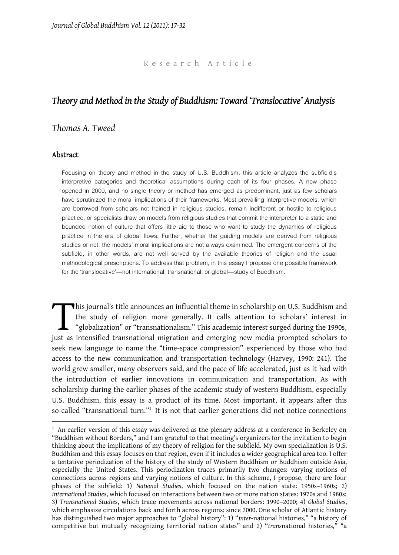#### R e s e a r c h A r t i c l e

# *Theory and Method in the Study of Buddhism: Toward 'Translocative' Analysis*

## *Thomas A. Tweed*

#### **Abstract**

Focusing on theory and method in the study of U.S. Buddhism, this article analyzes the subfield's interpretive categories and theoretical assumptions during each of its four phases. A new phase opened in 2000, and no single theory or method has emerged as predominant, just as few scholars have scrutinized the moral implications of their frameworks. Most prevailing interpretive models, which are borrowed from scholars not trained in religious studies, remain indifferent or hostile to religious practice, or specialists draw on models from religious studies that commit the interpreter to a static and bounded notion of culture that offers little aid to those who want to study the dynamics of religious practice in the era of global flows. Further, whether the guiding models are derived from religious studies or not, the models' moral implications are not always examined. The emergent concerns of the subfield, in other words, are not well served by the available theories of religion and the usual methodological prescriptions. To address that problem, in this essay I propose one possible framework for the 'translocative'—not international, transnational, or global—study of Buddhism.

his journal's title announces an influential theme in scholarship on U.S. Buddhism and the study of religion more generally. It calls attention to scholars' interest in "globalization" or "transnationalism." This academic interest surged during the 1990s, This journal's title announces an influential theme in scholarship on U.S. Buddhism and the study of religion more generally. It calls attention to scholars' interest in "globalization" or "transnationalism." This academic seek new language to name the "time-space compression" experienced by those who had access to the new communication and transportation technology (Harvey, 1990: 241). The world grew smaller, many observers said, and the pace of life accelerated, just as it had with the introduction of earlier innovations in communication and transportation. As with scholarship during the earlier phases of the academic study of western Buddhism, especially U.S. Buddhism, this essay is a product of its time. Most important, it appears after this so-called "transnational turn."<sup>1</sup> It is not that earlier generations did not notice connections

 $1$  An earlier version of this essay was delivered as the plenary address at a conference in Berkeley on "Buddhism without Borders," and I am grateful to that meeting's organizers for the invitation to begin thinking about the implications of my theory of religion for the subfield. My own specialization is U.S. Buddhism and this essay focuses on that region, even if it includes a wider geographical area too. I offer a tentative periodization of the history of the study of Western Buddhism or Buddhism outside Asia, especially the United States. This periodization traces primarily two changes: varying notions of connections across regions and varying notions of culture. In this scheme, I propose, there are four phases of the subfield: 1) *National Studies*, which focused on the nation state: 1950s–1960s; 2) *International Studies*, which focused on interactions between two or more nation states: 1970s and 1980s; 3) *Transnational Studies*, which trace movements across national borders: 1990–2000; 4) *Global Studies*, which emphasize circulations back and forth across regions: since 2000. One scholar of Atlantic history has distinguished two major approaches to "global history": 1) "*inter*-national histories," "a history of competitive but mutually recognizing territorial nation states" and 2) "*trans*national histories," "a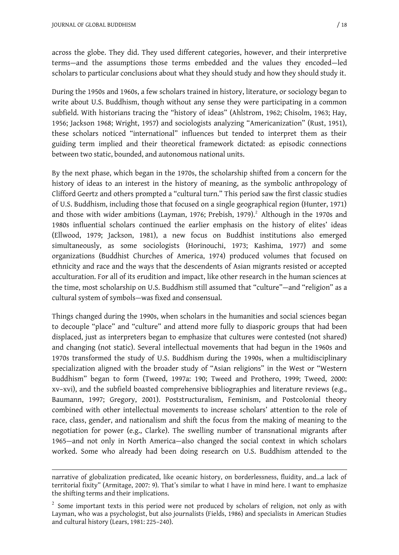across the globe. They did. They used different categories, however, and their interpretive terms—and the assumptions those terms embedded and the values they encoded—led scholars to particular conclusions about what they should study and how they should study it.

During the 1950s and 1960s, a few scholars trained in history, literature, or sociology began to write about U.S. Buddhism, though without any sense they were participating in a common subfield. With historians tracing the "history of ideas" (Ahlstrom, 1962; Chisolm, 1963; Hay, 1956; Jackson 1968; Wright, 1957) and sociologists analyzing "Americanization" (Rust, 1951), these scholars noticed "international" influences but tended to interpret them as their guiding term implied and their theoretical framework dictated: as episodic connections between two static, bounded, and autonomous national units.

By the next phase, which began in the 1970s, the scholarship shifted from a concern for the history of ideas to an interest in the history of meaning, as the symbolic anthropology of Clifford Geertz and others prompted a "cultural turn." This period saw the first classic studies of U.S. Buddhism, including those that focused on a single geographical region (Hunter, 1971) and those with wider ambitions (Layman, 1976; Prebish, 1979).<sup>2</sup> Although in the 1970s and 1980s influential scholars continued the earlier emphasis on the history of elites' ideas (Ellwood, 1979; Jackson, 1981), a new focus on Buddhist institutions also emerged simultaneously, as some sociologists (Horinouchi, 1973; Kashima, 1977) and some organizations (Buddhist Churches of America, 1974) produced volumes that focused on ethnicity and race and the ways that the descendents of Asian migrants resisted or accepted acculturation. For all of its erudition and impact, like other research in the human sciences at the time, most scholarship on U.S. Buddhism still assumed that "culture"—and "religion" as a cultural system of symbols—was fixed and consensual.

Things changed during the 1990s, when scholars in the humanities and social sciences began to decouple "place" and "culture" and attend more fully to diasporic groups that had been displaced, just as interpreters began to emphasize that cultures were contested (not shared) and changing (not static). Several intellectual movements that had begun in the 1960s and 1970s transformed the study of U.S. Buddhism during the 1990s, when a multidisciplinary specialization aligned with the broader study of "Asian religions" in the West or "Western Buddhism" began to form (Tweed, 1997a: 190; Tweed and Prothero, 1999; Tweed, 2000: xv–xvi), and the subfield boasted comprehensive bibliographies and literature reviews (e.g., Baumann, 1997; Gregory, 2001). Poststructuralism, Feminism, and Postcolonial theory combined with other intellectual movements to increase scholars' attention to the role of race, class, gender, and nationalism and shift the focus from the making of meaning to the negotiation for power (e.g., Clarke). The swelling number of transnational migrants after 1965—and not only in North America—also changed the social context in which scholars worked. Some who already had been doing research on U.S. Buddhism attended to the

narrative of globalization predicated, like oceanic history, on borderlessness, fluidity, and…a lack of territorial fixity" (Armitage, 2007: 9). That's similar to what I have in mind here. I want to emphasize the shifting terms and their implications.

 $2$  Some important texts in this period were not produced by scholars of religion, not only as with Layman, who was a psychologist, but also journalists (Fields, 1986) and specialists in American Studies and cultural history (Lears, 1981: 225–240).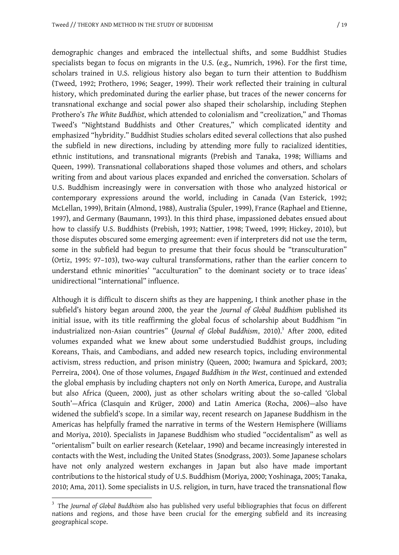demographic changes and embraced the intellectual shifts, and some Buddhist Studies specialists began to focus on migrants in the U.S. (e.g., Numrich, 1996). For the first time, scholars trained in U.S. religious history also began to turn their attention to Buddhism (Tweed, 1992; Prothero, 1996; Seager, 1999). Their work reflected their training in cultural history, which predominated during the earlier phase, but traces of the newer concerns for transnational exchange and social power also shaped their scholarship, including Stephen Prothero's *The White Buddhist*, which attended to colonialism and "creolization," and Thomas Tweed's "Nightstand Buddhists and Other Creatures," which complicated identity and emphasized "hybridity." Buddhist Studies scholars edited several collections that also pushed the subfield in new directions, including by attending more fully to racialized identities, ethnic institutions, and transnational migrants (Prebish and Tanaka, 1998; Williams and Queen, 1999). Transnational collaborations shaped those volumes and others, and scholars writing from and about various places expanded and enriched the conversation. Scholars of U.S. Buddhism increasingly were in conversation with those who analyzed historical or contemporary expressions around the world, including in Canada (Van Esterick, 1992; McLellan, 1999), Britain (Almond, 1988), Australia (Spuler, 1999), France (Raphael and Etienne, 1997), and Germany (Baumann, 1993). In this third phase, impassioned debates ensued about how to classify U.S. Buddhists (Prebish, 1993; Nattier, 1998; Tweed, 1999; Hickey, 2010), but those disputes obscured some emerging agreement: even if interpreters did not use the term, some in the subfield had begun to presume that their focus should be "transculturation" (Ortiz, 1995: 97–103), two-way cultural transformations, rather than the earlier concern to understand ethnic minorities' "acculturation" to the dominant society or to trace ideas' unidirectional "international" influence.

Although it is difficult to discern shifts as they are happening, I think another phase in the subfield's history began around 2000, the year the *Journal of Global Buddhism* published its initial issue, with its title reaffirming the global focus of scholarship about Buddhism "in industrialized non-Asian countries" (*Journal of Global Buddhism*, 2010).<sup>3</sup> After 2000, edited volumes expanded what we knew about some understudied Buddhist groups, including Koreans, Thais, and Cambodians, and added new research topics, including environmental activism, stress reduction, and prison ministry (Queen, 2000; Iwamura and Spickard, 2003; Perreira, 2004). One of those volumes, *Engaged Buddhism in the West*, continued and extended the global emphasis by including chapters not only on North America, Europe, and Australia but also Africa (Queen, 2000), just as other scholars writing about the so-called 'Global South'—Africa (Clasquin and Krüger, 2000) and Latin America (Rocha, 2006)—also have widened the subfield's scope. In a similar way, recent research on Japanese Buddhism in the Americas has helpfully framed the narrative in terms of the Western Hemisphere (Williams and Moriya, 2010). Specialists in Japanese Buddhism who studied "occidentalism" as well as "orientalism" built on earlier research (Ketelaar, 1990) and became increasingly interested in contacts with the West, including the United States (Snodgrass, 2003). Some Japanese scholars have not only analyzed western exchanges in Japan but also have made important contributions to the historical study of U.S. Buddhism (Moriya, 2000; Yoshinaga, 2005; Tanaka, 2010; Ama, 2011). Some specialists in U.S. religion, in turn, have traced the transnational flow

<sup>3</sup> The *Journal of Global Buddhism* also has published very useful bibliographies that focus on different nations and regions, and those have been crucial for the emerging subfield and its increasing geographical scope.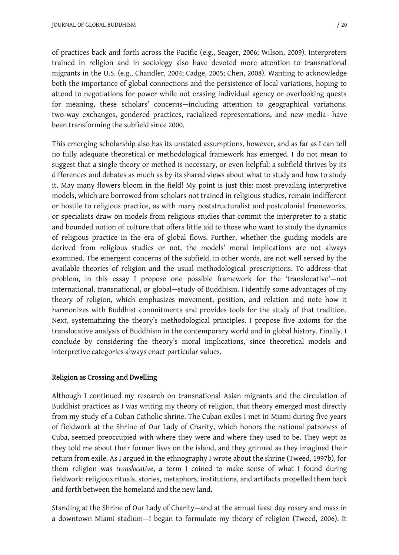of practices back and forth across the Pacific (e.g., Seager, 2006; Wilson, 2009). Interpreters trained in religion and in sociology also have devoted more attention to transnational migrants in the U.S. (e.g., Chandler, 2004; Cadge, 2005; Chen, 2008). Wanting to acknowledge both the importance of global connections and the persistence of local variations, hoping to attend to negotiations for power while not erasing individual agency or overlooking quests for meaning, these scholars' concerns—including attention to geographical variations, two-way exchanges, gendered practices, racialized representations, and new media—have been transforming the subfield since 2000.

This emerging scholarship also has its unstated assumptions, however, and as far as I can tell no fully adequate theoretical or methodological framework has emerged. I do not mean to suggest that a single theory or method is necessary, or even helpful: a subfield thrives by its differences and debates as much as by its shared views about what to study and how to study it. May many flowers bloom in the field! My point is just this: most prevailing interpretive models, which are borrowed from scholars not trained in religious studies, remain indifferent or hostile to religious practice, as with many poststructuralist and postcolonial frameworks, or specialists draw on models from religious studies that commit the interpreter to a static and bounded notion of culture that offers little aid to those who want to study the dynamics of religious practice in the era of global flows. Further, whether the guiding models are derived from religious studies or not, the models' moral implications are not always examined. The emergent concerns of the subfield, in other words, are not well served by the available theories of religion and the usual methodological prescriptions. To address that problem, in this essay I propose one possible framework for the 'translocative'—not international, transnational, or global—study of Buddhism. I identify some advantages of my theory of religion, which emphasizes movement, position, and relation and note how it harmonizes with Buddhist commitments and provides tools for the study of that tradition. Next, systematizing the theory's methodological principles, I propose five axioms for the translocative analysis of Buddhism in the contemporary world and in global history. Finally, I conclude by considering the theory's moral implications, since theoretical models and interpretive categories always enact particular values.

# **Religion as Crossing and Dwelling**

Although I continued my research on transnational Asian migrants and the circulation of Buddhist practices as I was writing my theory of religion, that theory emerged most directly from my study of a Cuban Catholic shrine. The Cuban exiles I met in Miami during five years of fieldwork at the Shrine of Our Lady of Charity, which honors the national patroness of Cuba, seemed preoccupied with where they were and where they used to be. They wept as they told me about their former lives on the island, and they grinned as they imagined their return from exile. As I argued in the ethnography I wrote about the shrine (Tweed, 1997b), for them religion was *translocative*, a term I coined to make sense of what I found during fieldwork: religious rituals, stories, metaphors, institutions, and artifacts propelled them back and forth between the homeland and the new land.

Standing at the Shrine of Our Lady of Charity—and at the annual feast day rosary and mass in a downtown Miami stadium—I began to formulate my theory of religion (Tweed, 2006). It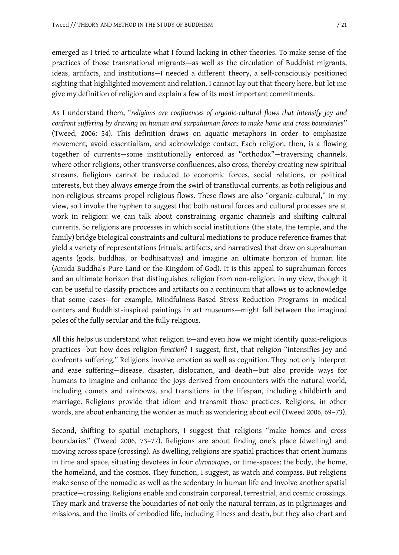emerged as I tried to articulate what I found lacking in other theories. To make sense of the practices of those transnational migrants—as well as the circulation of Buddhist migrants, ideas, artifacts, and institutions—I needed a different theory, a self-consciously positioned sighting that highlighted movement and relation. I cannot lay out that theory here, but let me give my definition of religion and explain a few of its most important commitments.

As I understand them, "*religions are confluences of organic-cultural flows that intensify joy and confront suffering by drawing on human and surpahuman forces to make home and cross boundaries*" (Tweed, 2006: 54). This definition draws on aquatic metaphors in order to emphasize movement, avoid essentialism, and acknowledge contact. Each religion, then, is a flowing together of currents—some institutionally enforced as "orthodox"—traversing channels, where other religions, other transverse confluences, also cross, thereby creating new spiritual streams. Religions cannot be reduced to economic forces, social relations, or political interests, but they always emerge from the swirl of transfluvial currents, as both religious and non-religious streams propel religious flows. These flows are also "organic-cultural," in my view, so I invoke the hyphen to suggest that both natural forces and cultural processes are at work in religion: we can talk about constraining organic channels and shifting cultural currents. So religions are processes in which social institutions (the state, the temple, and the family) bridge biological constraints and cultural mediations to produce reference frames that yield a variety of representations (rituals, artifacts, and narratives) that draw on suprahuman agents (gods, buddhas, or bodhisattvas) and imagine an ultimate horizon of human life (Amida Buddha's Pure Land or the Kingdom of God). It is this appeal to suprahuman forces and an ultimate horizon that distinguishes religion from non-religion, in my view, though it can be useful to classify practices and artifacts on a continuum that allows us to acknowledge that some cases—for example, Mindfulness-Based Stress Reduction Programs in medical centers and Buddhist-inspired paintings in art museums—might fall between the imagined poles of the fully secular and the fully religious.

All this helps us understand what religion *is*—and even how we might identify quasi-religious practices—but how does religion *function*? I suggest, first, that religion "intensifies joy and confronts suffering." Religions involve emotion as well as cognition. They not only interpret and ease suffering—disease, disaster, dislocation, and death—but also provide ways for humans to imagine and enhance the joys derived from encounters with the natural world, including comets and rainbows, and transitions in the lifespan, including childbirth and marriage. Religions provide that idiom and transmit those practices. Religions, in other words, are about enhancing the wonder as much as wondering about evil (Tweed 2006, 69–73).

Second, shifting to spatial metaphors, I suggest that religions "make homes and cross boundaries" (Tweed 2006, 73–77). Religions are about finding one's place (dwelling) and moving across space (crossing). As dwelling, religions are spatial practices that orient humans in time and space, situating devotees in four *chronotopes*, or time-spaces: the body, the home, the homeland, and the cosmos. They function, I suggest, as watch and compass. But religions make sense of the nomadic as well as the sedentary in human life and involve another spatial practice—crossing. Religions enable and constrain corporeal, terrestrial, and cosmic crossings. They mark and traverse the boundaries of not only the natural terrain, as in pilgrimages and missions, and the limits of embodied life, including illness and death, but they also chart and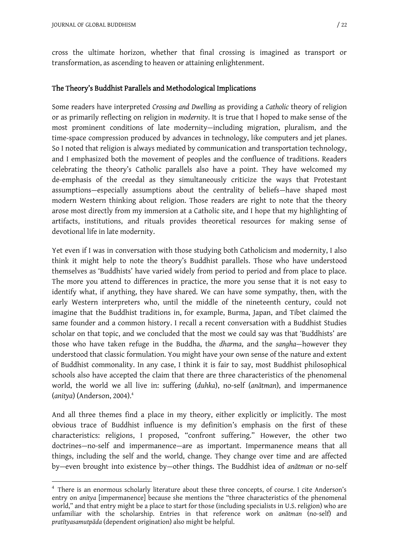cross the ultimate horizon, whether that final crossing is imagined as transport or transformation, as ascending to heaven or attaining enlightenment.

#### **The Theory's Buddhist Parallels and Methodological Implications**

Some readers have interpreted *Crossing and Dwelling* as providing a *Catholic* theory of religion or as primarily reflecting on religion in *modernity*. It is true that I hoped to make sense of the most prominent conditions of late modernity—including migration, pluralism, and the time-space compression produced by advances in technology, like computers and jet planes. So I noted that religion is always mediated by communication and transportation technology, and I emphasized both the movement of peoples and the confluence of traditions. Readers celebrating the theory's Catholic parallels also have a point. They have welcomed my de-emphasis of the creedal as they simultaneously criticize the ways that Protestant assumptions—especially assumptions about the centrality of beliefs—have shaped most modern Western thinking about religion. Those readers are right to note that the theory arose most directly from my immersion at a Catholic site, and I hope that my highlighting of artifacts, institutions, and rituals provides theoretical resources for making sense of devotional life in late modernity.

Yet even if I was in conversation with those studying both Catholicism and modernity, I also think it might help to note the theory's Buddhist parallels. Those who have understood themselves as 'Buddhists' have varied widely from period to period and from place to place. The more you attend to differences in practice, the more you sense that it is not easy to identify what, if anything, they have shared. We can have some sympathy, then, with the early Western interpreters who, until the middle of the nineteenth century, could not imagine that the Buddhist traditions in, for example, Burma, Japan, and Tibet claimed the same founder and a common history. I recall a recent conversation with a Buddhist Studies scholar on that topic, and we concluded that the most we could say was that 'Buddhists' are those who have taken refuge in the Buddha, the *dharma*, and the *sangha*—however they understood that classic formulation. You might have your own sense of the nature and extent of Buddhist commonality. In any case, I think it is fair to say, most Buddhist philosophical schools also have accepted the claim that there are three characteristics of the phenomenal world, the world we all live in: suffering (*duhka*), no-self (*anātman*), and impermanence (*anitya*) (Anderson, 2004).<sup>4</sup>

And all three themes find a place in my theory, either explicitly or implicitly. The most obvious trace of Buddhist influence is my definition's emphasis on the first of these characteristics: religions, I proposed, "confront suffering." However, the other two doctrines—no-self and impermanence—are as important. Impermanence means that all things, including the self and the world, change. They change over time and are affected by—even brought into existence by—other things. The Buddhist idea of *anātman* or no-self

<sup>&</sup>lt;sup>4</sup> There is an enormous scholarly literature about these three concepts, of course. I cite Anderson's entry on *anitya* [impermanence] because she mentions the "three characteristics of the phenomenal world," and that entry might be a place to start for those (including specialists in U.S. religion) who are unfamiliar with the scholarship. Entries in that reference work on *anātman* (no-self) and *pratītyasamutpāda* (dependent origination) also might be helpful.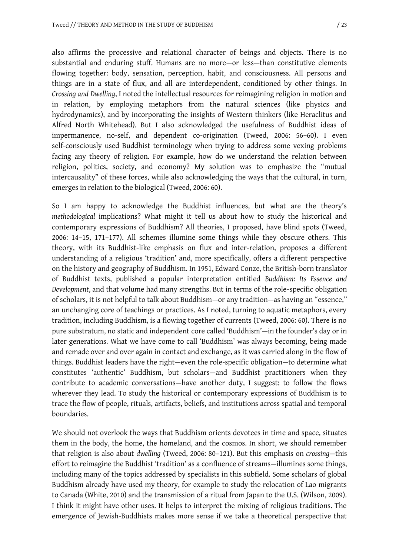also affirms the processive and relational character of beings and objects. There is no substantial and enduring stuff. Humans are no more—or less—than constitutive elements flowing together: body, sensation, perception, habit, and consciousness. All persons and things are in a state of flux, and all are interdependent, conditioned by other things. In *Crossing and Dwelling*, I noted the intellectual resources for reimagining religion in motion and in relation, by employing metaphors from the natural sciences (like physics and hydrodynamics), and by incorporating the insights of Western thinkers (like Heraclitus and Alfred North Whitehead). But I also acknowledged the usefulness of Buddhist ideas of impermanence, no-self, and dependent co-origination (Tweed, 2006: 56–60). I even self-consciously used Buddhist terminology when trying to address some vexing problems facing any theory of religion. For example, how do we understand the relation between religion, politics, society, and economy? My solution was to emphasize the "mutual intercausality" of these forces, while also acknowledging the ways that the cultural, in turn, emerges in relation to the biological (Tweed, 2006: 60).

So I am happy to acknowledge the Buddhist influences, but what are the theory's *methodological* implications? What might it tell us about how to study the historical and contemporary expressions of Buddhism? All theories, I proposed, have blind spots (Tweed, 2006: 14–15, 171–177). All schemes illumine some things while they obscure others. This theory, with its Buddhist-like emphasis on flux and inter-relation, proposes a different understanding of a religious 'tradition' and, more specifically, offers a different perspective on the history and geography of Buddhism. In 1951, Edward Conze, the British-born translator of Buddhist texts, published a popular interpretation entitled *Buddhism: Its Essence and Development*, and that volume had many strengths. But in terms of the role-specific obligation of scholars, it is not helpful to talk about Buddhism—or any tradition—as having an "essence," an unchanging core of teachings or practices. As I noted, turning to aquatic metaphors, every tradition, including Buddhism, is a flowing together of currents (Tweed, 2006: 60). There is no pure substratum, no static and independent core called 'Buddhism'—in the founder's day or in later generations. What we have come to call 'Buddhism' was always becoming, being made and remade over and over again in contact and exchange, as it was carried along in the flow of things. Buddhist leaders have the right—even the role-specific obligation—to determine what constitutes 'authentic' Buddhism, but scholars—and Buddhist practitioners when they contribute to academic conversations—have another duty, I suggest: to follow the flows wherever they lead. To study the historical or contemporary expressions of Buddhism is to trace the flow of people, rituals, artifacts, beliefs, and institutions across spatial and temporal boundaries.

We should not overlook the ways that Buddhism orients devotees in time and space, situates them in the body, the home, the homeland, and the cosmos. In short, we should remember that religion is also about *dwelling* (Tweed, 2006: 80–121). But this emphasis on *crossing*—this effort to reimagine the Buddhist 'tradition' as a confluence of streams—illumines some things, including many of the topics addressed by specialists in this subfield. Some scholars of global Buddhism already have used my theory, for example to study the relocation of Lao migrants to Canada (White, 2010) and the transmission of a ritual from Japan to the U.S. (Wilson, 2009). I think it might have other uses. It helps to interpret the mixing of religious traditions. The emergence of Jewish-Buddhists makes more sense if we take a theoretical perspective that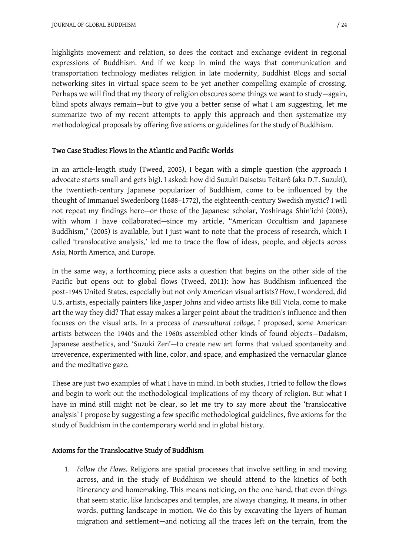highlights movement and relation, so does the contact and exchange evident in regional expressions of Buddhism. And if we keep in mind the ways that communication and transportation technology mediates religion in late modernity, Buddhist Blogs and social networking sites in virtual space seem to be yet another compelling example of crossing. Perhaps we will find that my theory of religion obscures some things we want to study—again, blind spots always remain—but to give you a better sense of what I am suggesting, let me summarize two of my recent attempts to apply this approach and then systematize my methodological proposals by offering five axioms or guidelines for the study of Buddhism.

### **Two Case Studies: Flows in the Atlantic and Pacific Worlds**

In an article-length study (Tweed, 2005), I began with a simple question (the approach I advocate starts small and gets big). I asked: how did Suzuki Daisetsu Teitarô (aka D.T. Suzuki), the twentieth-century Japanese popularizer of Buddhism, come to be influenced by the thought of Immanuel Swedenborg (1688–1772), the eighteenth-century Swedish mystic? I will not repeat my findings here—or those of the Japanese scholar, Yoshinaga Shin'ichi (2005), with whom I have collaborated—since my article, "American Occultism and Japanese Buddhism," (2005) is available, but I just want to note that the process of research, which I called 'translocative analysis,' led me to trace the flow of ideas, people, and objects across Asia, North America, and Europe.

In the same way, a forthcoming piece asks a question that begins on the other side of the Pacific but opens out to global flows (Tweed, 2011): how has Buddhism influenced the post-1945 United States, especially but not only American visual artists? How, I wondered, did U.S. artists, especially painters like Jasper Johns and video artists like Bill Viola, come to make art the way they did? That essay makes a larger point about the tradition's influence and then focuses on the visual arts. In a process of *transcultural collage*, I proposed, some American artists between the 1940s and the 1960s assembled other kinds of found objects—Dadaism, Japanese aesthetics, and 'Suzuki Zen'—to create new art forms that valued spontaneity and irreverence, experimented with line, color, and space, and emphasized the vernacular glance and the meditative gaze.

These are just two examples of what I have in mind. In both studies, I tried to follow the flows and begin to work out the methodological implications of my theory of religion. But what I have in mind still might not be clear, so let me try to say more about the 'translocative analysis' I propose by suggesting a few specific methodological guidelines, five axioms for the study of Buddhism in the contemporary world and in global history.

# **Axioms for the Translocative Study of Buddhism**

1. *Follow the Flows*. Religions are spatial processes that involve settling in and moving across, and in the study of Buddhism we should attend to the kinetics of both itinerancy and homemaking. This means noticing, on the one hand, that even things that seem static, like landscapes and temples, are always changing. It means, in other words, putting landscape in motion. We do this by excavating the layers of human migration and settlement—and noticing all the traces left on the terrain, from the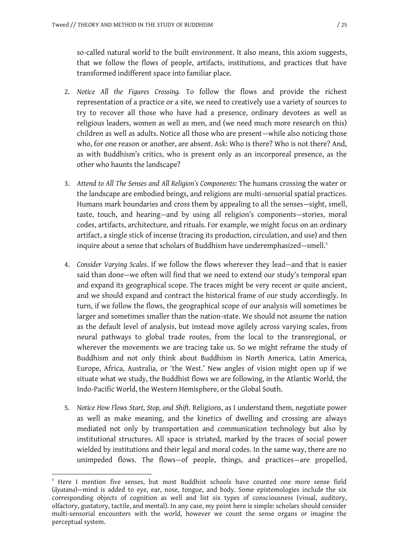so-called natural world to the built environment. It also means, this axiom suggests, that we follow the flows of people, artifacts, institutions, and practices that have transformed indifferent space into familiar place.

- 2. *Notice All the Figures Crossing.* To follow the flows and provide the richest representation of a practice or a site, we need to creatively use a variety of sources to try to recover all those who have had a presence, ordinary devotees as well as religious leaders, women as well as men, and (we need much more research on this) children as well as adults. Notice all those who are present—while also noticing those who, for one reason or another, are absent. Ask: Who is there? Who is not there? And, as with Buddhism's critics, who is present only as an incorporeal presence, as the other who haunts the landscape?
- 3. *Attend to All The Senses and All Religion's Components*: The humans crossing the water or the landscape are embodied beings, and religions are multi-sensorial spatial practices. Humans mark boundaries and cross them by appealing to all the senses—sight, smell, taste, touch, and hearing—and by using all religion's components—stories, moral codes, artifacts, architecture, and rituals. For example, we might focus on an ordinary artifact, a single stick of incense (tracing its production, circulation, and use) and then inquire about a sense that scholars of Buddhism have underemphasized—smell.<sup>5</sup>
- 4. *Consider Varying Scales*. If we follow the flows wherever they lead—and that is easier said than done—we often will find that we need to extend our study's temporal span and expand its geographical scope. The traces might be very recent or quite ancient, and we should expand and contract the historical frame of our study accordingly. In turn, if we follow the flows, the geographical scope of our analysis will sometimes be larger and sometimes smaller than the nation-state. We should not assume the nation as the default level of analysis, but instead move agilely across varying scales, from neural pathways to global trade routes, from the local to the transregional, or wherever the movements we are tracing take us. So we might reframe the study of Buddhism and not only think about Buddhism in North America, Latin America, Europe, Africa, Australia, or 'the West.' New angles of vision might open up if we situate what we study, the Buddhist flows we are following, in the Atlantic World, the Indo-Pacific World, the Western Hemisphere, or the Global South.
- 5. *Notice How Flows Start, Stop, and Shift*. Religions, as I understand them, negotiate power as well as make meaning, and the kinetics of dwelling and crossing are always mediated not only by transportation and communication technology but also by institutional structures. All space is striated, marked by the traces of social power wielded by institutions and their legal and moral codes. In the same way, there are no unimpeded flows. The flows—of people, things, and practices—are propelled,

<sup>&</sup>lt;sup>5</sup> Here I mention five senses, but most Buddhist schools have counted one more sense field (*āyatana*)—mind is added to eye, ear, nose, tongue, and body. Some epistemologies include the six corresponding objects of cognition as well and list six types of consciousness (visual, auditory, olfactory, gustatory, tactile, and mental). In any case, my point here is simple: scholars should consider multi-sensorial encounters with the world, however we count the sense organs or imagine the perceptual system.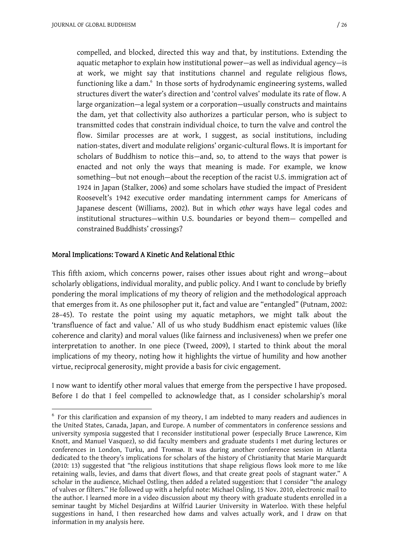compelled, and blocked, directed this way and that, by institutions. Extending the aquatic metaphor to explain how institutional power—as well as individual agency—is at work, we might say that institutions channel and regulate religious flows, functioning like a dam.<sup>6</sup> In those sorts of hydrodynamic engineering systems, walled structures divert the water's direction and 'control valves' modulate its rate of flow. A large organization—a legal system or a corporation—usually constructs and maintains the dam, yet that collectivity also authorizes a particular person, who is subject to transmitted codes that constrain individual choice, to turn the valve and control the flow. Similar processes are at work, I suggest, as social institutions, including nation-states, divert and modulate religions' organic-cultural flows. It is important for scholars of Buddhism to notice this—and, so, to attend to the ways that power is enacted and not only the ways that meaning is made. For example, we know something—but not enough—about the reception of the racist U.S. immigration act of 1924 in Japan (Stalker, 2006) and some scholars have studied the impact of President Roosevelt's 1942 executive order mandating internment camps for Americans of Japanese descent (Williams, 2002). But in which *other* ways have legal codes and institutional structures—within U.S. boundaries or beyond them— compelled and constrained Buddhists' crossings?

### **Moral Implications: Toward A Kinetic And Relational Ethic**

This fifth axiom, which concerns power, raises other issues about right and wrong—about scholarly obligations, individual morality, and public policy. And I want to conclude by briefly pondering the moral implications of my theory of religion and the methodological approach that emerges from it. As one philosopher put it, fact and value are "entangled" (Putnam, 2002: 28–45). To restate the point using my aquatic metaphors, we might talk about the 'transfluence of fact and value.' All of us who study Buddhism enact epistemic values (like coherence and clarity) and moral values (like fairness and inclusiveness) when we prefer one interpretation to another. In one piece (Tweed, 2009), I started to think about the moral implications of my theory, noting how it highlights the virtue of humility and how another virtue, reciprocal generosity, might provide a basis for civic engagement.

I now want to identify other moral values that emerge from the perspective I have proposed. Before I do that I feel compelled to acknowledge that, as I consider scholarship's moral

 $6$  For this clarification and expansion of my theory, I am indebted to many readers and audiences in the United States, Canada, Japan, and Europe. A number of commentators in conference sessions and university symposia suggested that I reconsider institutional power (especially Bruce Lawrence, Kim Knott, and Manuel Vasquez), so did faculty members and graduate students I met during lectures or conferences in London, Turku, and Tromsø. It was during another conference session in Atlanta dedicated to the theory's implications for scholars of the history of Christianity that Marie Marquardt (2010: 13) suggested that "the religious institutions that shape religious flows look more to me like retaining walls, levies, and dams that divert flows, and that create great pools of stagnant water." A scholar in the audience, Michael Ostling, then added a related suggestion: that I consider "the analogy of valves or filters." He followed up with a helpful note: Michael Osling, 15 Nov. 2010, electronic mail to the author. I learned more in a video discussion about my theory with graduate students enrolled in a seminar taught by Michel Desjardins at Wilfrid Laurier University in Waterloo. With these helpful suggestions in hand, I then researched how dams and valves actually work, and I draw on that information in my analysis here.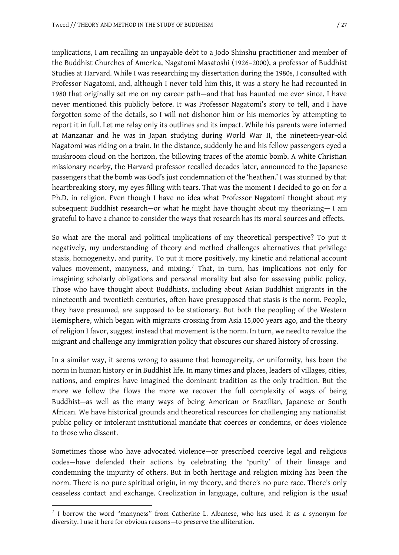implications, I am recalling an unpayable debt to a Jodo Shinshu practitioner and member of the Buddhist Churches of America, Nagatomi Masatoshi (1926–2000), a professor of Buddhist Studies at Harvard. While I was researching my dissertation during the 1980s, I consulted with Professor Nagatomi, and, although I never told him this, it was a story he had recounted in 1980 that originally set me on my career path—and that has haunted me ever since. I have never mentioned this publicly before. It was Professor Nagatomi's story to tell, and I have forgotten some of the details, so I will not dishonor him or his memories by attempting to report it in full. Let me relay only its outlines and its impact. While his parents were interned at Manzanar and he was in Japan studying during World War II, the nineteen-year-old Nagatomi was riding on a train. In the distance, suddenly he and his fellow passengers eyed a mushroom cloud on the horizon, the billowing traces of the atomic bomb. A white Christian missionary nearby, the Harvard professor recalled decades later, announced to the Japanese passengers that the bomb was God's just condemnation of the 'heathen.' I was stunned by that heartbreaking story, my eyes filling with tears. That was the moment I decided to go on for a Ph.D. in religion. Even though I have no idea what Professor Nagatomi thought about my subsequent Buddhist research—or what he might have thought about my theorizing— I am grateful to have a chance to consider the ways that research has its moral sources and effects.

So what are the moral and political implications of my theoretical perspective? To put it negatively, my understanding of theory and method challenges alternatives that privilege stasis, homogeneity, and purity. To put it more positively, my kinetic and relational account values movement, manyness, and mixing.<sup>7</sup> That, in turn, has implications not only for imagining scholarly obligations and personal morality but also for assessing public policy. Those who have thought about Buddhists, including about Asian Buddhist migrants in the nineteenth and twentieth centuries, often have presupposed that stasis is the norm. People, they have presumed, are supposed to be stationary. But both the peopling of the Western Hemisphere, which began with migrants crossing from Asia 15,000 years ago, and the theory of religion I favor, suggest instead that movement is the norm. In turn, we need to revalue the migrant and challenge any immigration policy that obscures our shared history of crossing.

In a similar way, it seems wrong to assume that homogeneity, or uniformity, has been the norm in human history or in Buddhist life. In many times and places, leaders of villages, cities, nations, and empires have imagined the dominant tradition as the only tradition. But the more we follow the flows the more we recover the full complexity of ways of being Buddhist—as well as the many ways of being American or Brazilian, Japanese or South African. We have historical grounds and theoretical resources for challenging any nationalist public policy or intolerant institutional mandate that coerces or condemns, or does violence to those who dissent.

Sometimes those who have advocated violence—or prescribed coercive legal and religious codes—have defended their actions by celebrating the 'purity' of their lineage and condemning the impurity of others. But in both heritage and religion mixing has been the norm. There is no pure spiritual origin, in my theory, and there's no pure race. There's only ceaseless contact and exchange. Creolization in language, culture, and religion is the *usual*

 $<sup>7</sup>$  I borrow the word "manyness" from Catherine L. Albanese, who has used it as a synonym for</sup> diversity. I use it here for obvious reasons—to preserve the alliteration.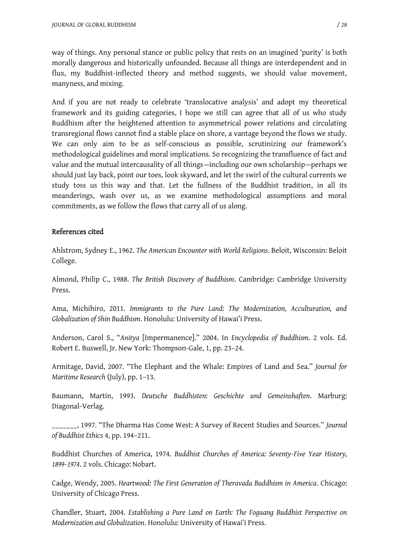way of things. Any personal stance or public policy that rests on an imagined 'purity' is both morally dangerous and historically unfounded. Because all things are interdependent and in flux, my Buddhist-inflected theory and method suggests, we should value movement, manyness, and mixing.

And if you are not ready to celebrate 'translocative analysis' and adopt my theoretical framework and its guiding categories, I hope we still can agree that all of us who study Buddhism after the heightened attention to asymmetrical power relations and circulating transregional flows cannot find a stable place on shore, a vantage beyond the flows we study. We can only aim to be as self-conscious as possible, scrutinizing our framework's methodological guidelines and moral implications. So recognizing the transfluence of fact and value and the mutual intercausality of all things—including our own scholarship—perhaps we should just lay back, point our toes, look skyward, and let the swirl of the cultural currents we study toss us this way and that. Let the fullness of the Buddhist tradition, in all its meanderings, wash over us, as we examine methodological assumptions and moral commitments, as we follow the flows that carry all of us along.

### **References cited**

Ahlstrom, Sydney E., 1962. *The American Encounter with World Religions*. Beloit, Wisconsin: Beloit College.

Almond, Philip C., 1988. *The British Discovery of Buddhism*. Cambridge: Cambridge University Press.

Ama, Michihiro, 2011. *Immigrants to the Pure Land: The Modernization, Acculturation, and Globalization of Shin Buddhism*. Honolulu: University of Hawai'i Press.

Anderson, Carol S., "*Anitya* [Impermanence]." 2004. In *Encyclopedia of Buddhism*. 2 vols. Ed. Robert E. Buswell, Jr. New York: Thompson-Gale, 1, pp. 23–24.

Armitage, David, 2007. "The Elephant and the Whale: Empires of Land and Sea." *Journal for Maritime Research* (July), pp. 1–13.

Baumann, Martin, 1993. *Deutsche Buddhisten: Geschichte und Gemeinshaften*. Marburg: Diagonal-Verlag.

\_\_\_\_\_\_\_, 1997. "The Dharma Has Come West: A Survey of Recent Studies and Sources." *Journal of Buddhist Ethics* 4, pp. 194–211.

Buddhist Churches of America, 1974. *Buddhist Churches of America: Seventy-Five Year History, 1899–1974*. 2 vols. Chicago: Nobart.

Cadge, Wendy, 2005. *Heartwood: The First Generation of Theravada Buddhism in America*. Chicago: University of Chicago Press.

Chandler, Stuart, 2004. *Establishing a Pure Land on Earth: The Foguang Buddhist Perspective on Modernization and Globalization*. Honolulu: University of Hawai'i Press.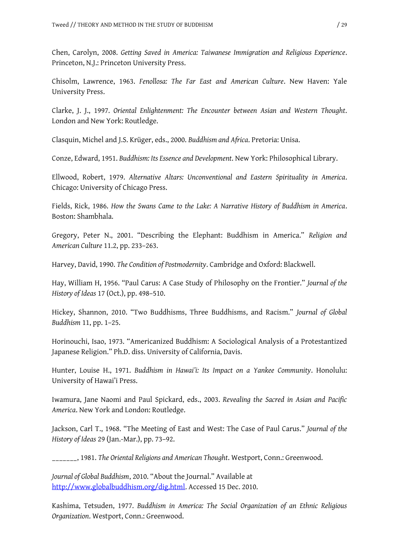Chen, Carolyn, 2008. *Getting Saved in America: Taiwanese Immigration and Religious Experience*. Princeton, N.J.: Princeton University Press.

Chisolm, Lawrence, 1963. *Fenollosa: The Far East and American Culture*. New Haven: Yale University Press.

Clarke, J. J., 1997. *Oriental Enlightenment: The Encounter between Asian and Western Thought*. London and New York: Routledge.

Clasquin, Michel and J.S. Krüger, eds., 2000. *Buddhism and Africa*. Pretoria: Unisa.

Conze, Edward, 1951. *Buddhism: Its Essence and Development*. New York: Philosophical Library.

Ellwood, Robert, 1979. *Alternative Altars: Unconventional and Eastern Spirituality in America*. Chicago: University of Chicago Press.

Fields, Rick, 1986. *How the Swans Came to the Lake: A Narrative History of Buddhism in America*. Boston: Shambhala.

Gregory, Peter N., 2001. "Describing the Elephant: Buddhism in America." *Religion and American Culture* 11.2, pp. 233–263.

Harvey, David, 1990. *The Condition of Postmodernity*. Cambridge and Oxford: Blackwell.

Hay, William H, 1956. "Paul Carus: A Case Study of Philosophy on the Frontier." *Journal of the History of Ideas* 17 (Oct.), pp. 498–510.

Hickey, Shannon, 2010. "Two Buddhisms, Three Buddhisms, and Racism." *Journal of Global Buddhism* 11, pp. 1–25.

Horinouchi, Isao, 1973. "Americanized Buddhism: A Sociological Analysis of a Protestantized Japanese Religion." Ph.D. diss. University of California, Davis.

Hunter, Louise H., 1971. *Buddhism in Hawai'i: Its Impact on a Yankee Community*. Honolulu: University of Hawai'i Press.

Iwamura, Jane Naomi and Paul Spickard, eds., 2003. *Revealing the Sacred in Asian and Pacific America*. New York and London: Routledge.

Jackson, Carl T., 1968. "The Meeting of East and West: The Case of Paul Carus." *Journal of the History of Ideas* 29 (Jan.-Mar.), pp. 73–92.

\_\_\_\_\_\_\_, 1981. *The Oriental Religions and American Thought*. Westport, Conn.: Greenwood.

*Journal of Global Buddhism*, 2010. "About the Journal." Available at http://www.globalbuddhism.org/dig.html. Accessed 15 Dec. 2010.

Kashima, Tetsuden, 1977. *Buddhism in America: The Social Organization of an Ethnic Religious Organization*. Westport, Conn.: Greenwood.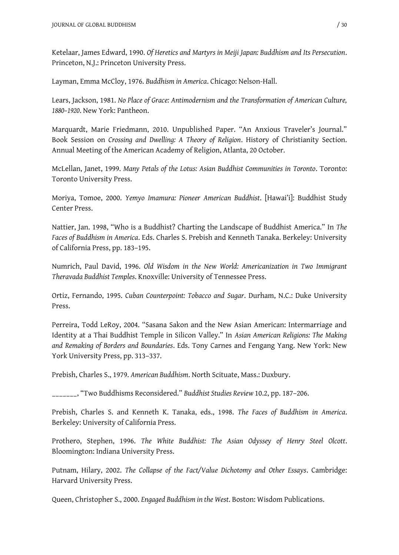Ketelaar, James Edward, 1990. *Of Heretics and Martyrs in Meiji Japan: Buddhism and Its Persecution*. Princeton, N.J.: Princeton University Press.

Layman, Emma McCloy, 1976. *Buddhism in America*. Chicago: Nelson-Hall.

Lears, Jackson, 1981. *No Place of Grace: Antimodernism and the Transformation of American Culture, 1880–1920*. New York: Pantheon.

Marquardt, Marie Friedmann, 2010. Unpublished Paper. "An Anxious Traveler's Journal." Book Session on *Crossing and Dwelling: A Theory of Religion*. History of Christianity Section. Annual Meeting of the American Academy of Religion, Atlanta, 20 October.

McLellan, Janet, 1999. *Many Petals of the Lotus: Asian Buddhist Communities in Toronto*. Toronto: Toronto University Press.

Moriya, Tomoe, 2000. *Yemyo Imamura: Pioneer American Buddhist*. [Hawai'i]: Buddhist Study Center Press.

Nattier, Jan. 1998, "Who is a Buddhist? Charting the Landscape of Buddhist America." In *The Faces of Buddhism in America*. Eds. Charles S. Prebish and Kenneth Tanaka. Berkeley: University of California Press, pp. 183–195.

Numrich, Paul David, 1996. *Old Wisdom in the New World: Americanization in Two Immigrant Theravada Buddhist Temples*. Knoxville: University of Tennessee Press.

Ortiz, Fernando, 1995. *Cuban Counterpoint: Tobacco and Sugar*. Durham, N.C.: Duke University Press.

Perreira, Todd LeRoy, 2004. "Sasana Sakon and the New Asian American: Intermarriage and Identity at a Thai Buddhist Temple in Silicon Valley." In *Asian American Religions: The Making and Remaking of Borders and Boundaries*. Eds. Tony Carnes and Fengang Yang. New York: New York University Press, pp. 313–337.

Prebish, Charles S., 1979. *American Buddhism*. North Scituate, Mass.: Duxbury.

\_\_\_\_\_\_\_, "Two Buddhisms Reconsidered." *Buddhist Studies Review* 10.2, pp. 187–206.

Prebish, Charles S. and Kenneth K. Tanaka, eds., 1998. *The Faces of Buddhism in America*. Berkeley: University of California Press.

Prothero, Stephen, 1996. *The White Buddhist: The Asian Odyssey of Henry Steel Olcott*. Bloomington: Indiana University Press.

Putnam, Hilary, 2002. *The Collapse of the Fact/Value Dichotomy and Other Essays*. Cambridge: Harvard University Press.

Queen, Christopher S., 2000. *Engaged Buddhism in the West*. Boston: Wisdom Publications.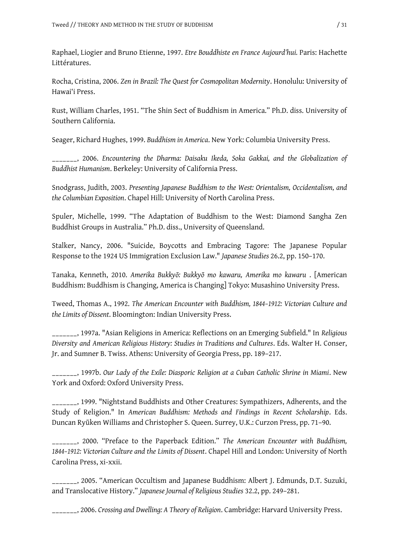Raphael, Liogier and Bruno Etienne, 1997. *Etre Bouddhiste en France Aujourd'hui.* Paris: Hachette Littératures.

Rocha, Cristina, 2006. *Zen in Brazil: The Quest for Cosmopolitan Modernity*. Honolulu: University of Hawai'i Press.

Rust, William Charles, 1951. "The Shin Sect of Buddhism in America." Ph.D. diss. University of Southern California.

Seager, Richard Hughes, 1999. *Buddhism in America*. New York: Columbia University Press.

\_\_\_\_\_\_\_, 2006. *Encountering the Dharma: Daisaku Ikeda, Soka Gakkai, and the Globalization of Buddhist Humanism*. Berkeley: University of California Press.

Snodgrass, Judith, 2003. *Presenting Japanese Buddhism to the West: Orientalism, Occidentalism, and the Columbian Exposition*. Chapel Hill: University of North Carolina Press.

Spuler, Michelle, 1999. "The Adaptation of Buddhism to the West: Diamond Sangha Zen Buddhist Groups in Australia." Ph.D. diss., University of Queensland.

Stalker, Nancy, 2006. "Suicide, Boycotts and Embracing Tagore: The Japanese Popular Response to the 1924 US Immigration Exclusion Law." *Japanese Studies* 26.2, pp. 150–170.

Tanaka, Kenneth, 2010. *Amerika Bukkyō: Bukkyō mo kawaru, Amerika mo kawaru* . [American Buddhism: Buddhism is Changing, America is Changing] Tokyo: Musashino University Press.

Tweed, Thomas A., 1992. *The American Encounter with Buddhism, 1844–1912: Victorian Culture and the Limits of Dissent*. Bloomington: Indian University Press.

\_\_\_\_\_\_\_, 1997a. "Asian Religions in America: Reflections on an Emerging Subfield." In *Religious Diversity and American Religious History: Studies in Traditions and Cultures*. Eds. Walter H. Conser, Jr. and Sumner B. Twiss. Athens: University of Georgia Press, pp. 189–217.

\_\_\_\_\_\_\_, 1997b. *Our Lady of the Exile: Diasporic Religion at a Cuban Catholic Shrine in Miami*. New York and Oxford: Oxford University Press.

\_\_\_\_\_\_\_, 1999. "Nightstand Buddhists and Other Creatures: Sympathizers, Adherents, and the Study of Religion." In *American Buddhism: Methods and Findings in Recent Scholarship*. Eds. Duncan Ryūken Williams and Christopher S. Queen. Surrey, U.K.: Curzon Press, pp. 71–90.

\_\_\_\_\_\_\_, 2000. "Preface to the Paperback Edition." *The American Encounter with Buddhism, 1844–1912: Victorian Culture and the Limits of Dissent*. Chapel Hill and London: University of North Carolina Press, xi-xxii.

\_\_\_\_\_\_\_, 2005. "American Occultism and Japanese Buddhism: Albert J. Edmunds, D.T. Suzuki, and Translocative History." *Japanese Journal of Religious Studies* 32.2, pp. 249–281.

\_\_\_\_\_\_\_, 2006. *Crossing and Dwelling: A Theory of Religion*. Cambridge: Harvard University Press.